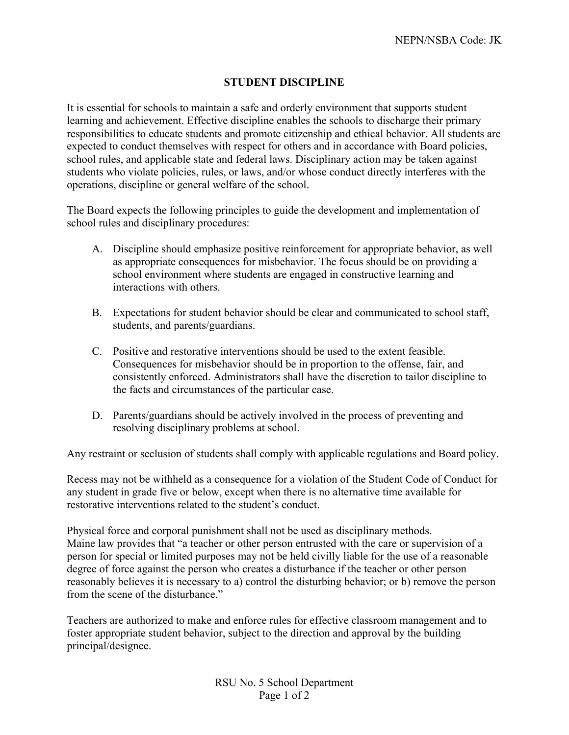## **STUDENT DISCIPLINE**

It is essential for schools to maintain a safe and orderly environment that supports student learning and achievement. Effective discipline enables the schools to discharge their primary responsibilities to educate students and promote citizenship and ethical behavior. All students are expected to conduct themselves with respect for others and in accordance with Board policies, school rules, and applicable state and federal laws. Disciplinary action may be taken against students who violate policies, rules, or laws, and/or whose conduct directly interferes with the operations, discipline or general welfare of the school.

The Board expects the following principles to guide the development and implementation of school rules and disciplinary procedures:

- A. Discipline should emphasize positive reinforcement for appropriate behavior, as well as appropriate consequences for misbehavior. The focus should be on providing a school environment where students are engaged in constructive learning and interactions with others.
- B. Expectations for student behavior should be clear and communicated to school staff, students, and parents/guardians.
- C. Positive and restorative interventions should be used to the extent feasible. Consequences for misbehavior should be in proportion to the offense, fair, and consistently enforced. Administrators shall have the discretion to tailor discipline to the facts and circumstances of the particular case.
- D. Parents/guardians should be actively involved in the process of preventing and resolving disciplinary problems at school.

Any restraint or seclusion of students shall comply with applicable regulations and Board policy.

Recess may not be withheld as a consequence for a violation of the Student Code of Conduct for any student in grade five or below, except when there is no alternative time available for restorative interventions related to the student's conduct.

Physical force and corporal punishment shall not be used as disciplinary methods. Maine law provides that "a teacher or other person entrusted with the care or supervision of a person for special or limited purposes may not be held civilly liable for the use of a reasonable degree of force against the person who creates a disturbance if the teacher or other person reasonably believes it is necessary to a) control the disturbing behavior; or b) remove the person from the scene of the disturbance."

Teachers are authorized to make and enforce rules for effective classroom management and to foster appropriate student behavior, subject to the direction and approval by the building principal/designee.

> RSU No. 5 School Department Page 1 of 2